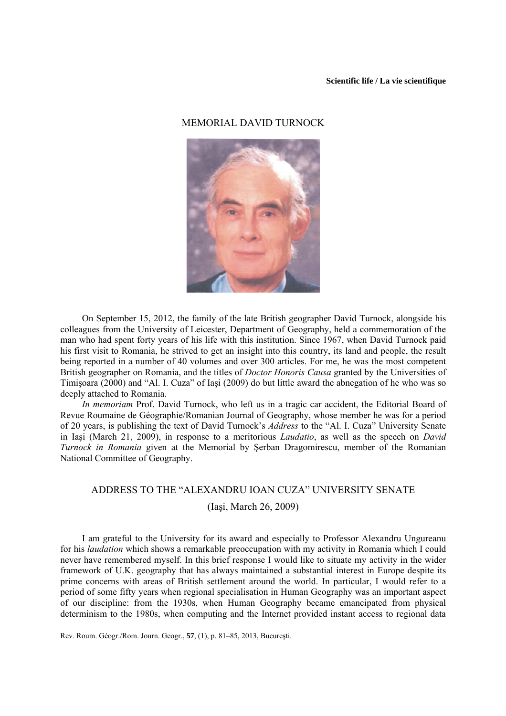## **Scientific life / La vie scientifique**

## MEMORIAL DAVID TURNOCK



On September 15, 2012, the family of the late British geographer David Turnock, alongside his colleagues from the University of Leicester, Department of Geography, held a commemoration of the man who had spent forty years of his life with this institution. Since 1967, when David Turnock paid his first visit to Romania, he strived to get an insight into this country, its land and people, the result being reported in a number of 40 volumes and over 300 articles. For me, he was the most competent British geographer on Romania, and the titles of *Doctor Honoris Causa* granted by the Universities of Timişoara (2000) and "Al. I. Cuza" of Iaşi (2009) do but little award the abnegation of he who was so deeply attached to Romania.

*In memoriam* Prof. David Turnock, who left us in a tragic car accident, the Editorial Board of Revue Roumaine de Géographie/Romanian Journal of Geography, whose member he was for a period of 20 years, is publishing the text of David Turnock's *Address* to the "Al. I. Cuza" University Senate in Iaşi (March 21, 2009), in response to a meritorious *Laudatio*, as well as the speech on *David Turnock in Romania* given at the Memorial by Şerban Dragomirescu, member of the Romanian National Committee of Geography.

## ADDRESS TO THE "ALEXANDRU IOAN CUZA" UNIVERSITY SENATE

(Iaşi, March 26, 2009)

I am grateful to the University for its award and especially to Professor Alexandru Ungureanu for his *laudation* which shows a remarkable preoccupation with my activity in Romania which I could never have remembered myself. In this brief response I would like to situate my activity in the wider framework of U.K. geography that has always maintained a substantial interest in Europe despite its prime concerns with areas of British settlement around the world. In particular, I would refer to a period of some fifty years when regional specialisation in Human Geography was an important aspect of our discipline: from the 1930s, when Human Geography became emancipated from physical determinism to the 1980s, when computing and the Internet provided instant access to regional data

Rev. Roum. Géogr./Rom. Journ. Geogr., **57**, (1), p. 81–85, 2013, Bucureşti.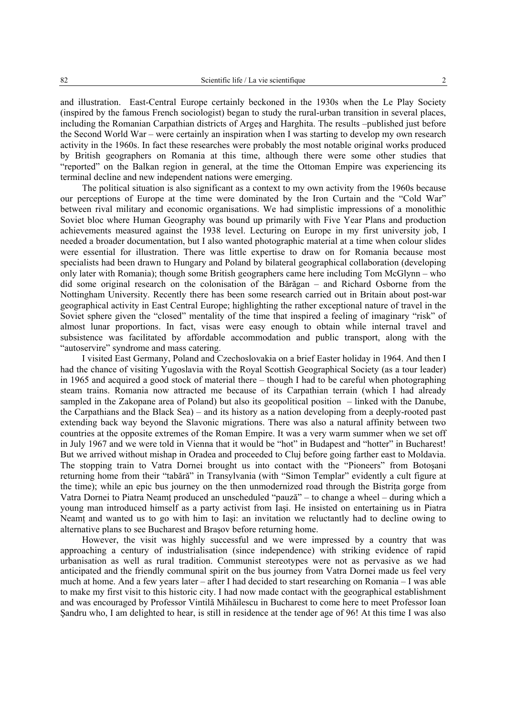and illustration. East-Central Europe certainly beckoned in the 1930s when the Le Play Society (inspired by the famous French sociologist) began to study the rural-urban transition in several places, including the Romanian Carpathian districts of Argeş and Harghita. The results –published just before the Second World War – were certainly an inspiration when I was starting to develop my own research activity in the 1960s. In fact these researches were probably the most notable original works produced by British geographers on Romania at this time, although there were some other studies that "reported" on the Balkan region in general, at the time the Ottoman Empire was experiencing its terminal decline and new independent nations were emerging.

The political situation is also significant as a context to my own activity from the 1960s because our perceptions of Europe at the time were dominated by the Iron Curtain and the "Cold War" between rival military and economic organisations. We had simplistic impressions of a monolithic Soviet bloc where Human Geography was bound up primarily with Five Year Plans and production achievements measured against the 1938 level. Lecturing on Europe in my first university job, I needed a broader documentation, but I also wanted photographic material at a time when colour slides were essential for illustration. There was little expertise to draw on for Romania because most specialists had been drawn to Hungary and Poland by bilateral geographical collaboration (developing only later with Romania); though some British geographers came here including Tom McGlynn – who did some original research on the colonisation of the Bărăgan – and Richard Osborne from the Nottingham University. Recently there has been some research carried out in Britain about post-war geographical activity in East Central Europe; highlighting the rather exceptional nature of travel in the Soviet sphere given the "closed" mentality of the time that inspired a feeling of imaginary "risk" of almost lunar proportions. In fact, visas were easy enough to obtain while internal travel and subsistence was facilitated by affordable accommodation and public transport, along with the "autoservire" syndrome and mass catering.

I visited East Germany, Poland and Czechoslovakia on a brief Easter holiday in 1964. And then I had the chance of visiting Yugoslavia with the Royal Scottish Geographical Society (as a tour leader) in 1965 and acquired a good stock of material there – though I had to be careful when photographing steam trains. Romania now attracted me because of its Carpathian terrain (which I had already sampled in the Zakopane area of Poland) but also its geopolitical position – linked with the Danube, the Carpathians and the Black Sea) – and its history as a nation developing from a deeply-rooted past extending back way beyond the Slavonic migrations. There was also a natural affinity between two countries at the opposite extremes of the Roman Empire. It was a very warm summer when we set off in July 1967 and we were told in Vienna that it would be "hot" in Budapest and "hotter" in Bucharest! But we arrived without mishap in Oradea and proceeded to Cluj before going farther east to Moldavia. The stopping train to Vatra Dornei brought us into contact with the "Pioneers" from Botoşani returning home from their "tabără" in Transylvania (with "Simon Templar" evidently a cult figure at the time); while an epic bus journey on the then unmodernized road through the Bistrita gorge from Vatra Dornei to Piatra Neamţ produced an unscheduled "pauză" – to change a wheel – during which a young man introduced himself as a party activist from Iaşi. He insisted on entertaining us in Piatra Neamt and wanted us to go with him to Iasi: an invitation we reluctantly had to decline owing to alternative plans to see Bucharest and Braşov before returning home.

However, the visit was highly successful and we were impressed by a country that was approaching a century of industrialisation (since independence) with striking evidence of rapid urbanisation as well as rural tradition. Communist stereotypes were not as pervasive as we had anticipated and the friendly communal spirit on the bus journey from Vatra Dornei made us feel very much at home. And a few years later – after I had decided to start researching on Romania – I was able to make my first visit to this historic city. I had now made contact with the geographical establishment and was encouraged by Professor Vintilă Mihăilescu in Bucharest to come here to meet Professor Ioan Şandru who, I am delighted to hear, is still in residence at the tender age of 96! At this time I was also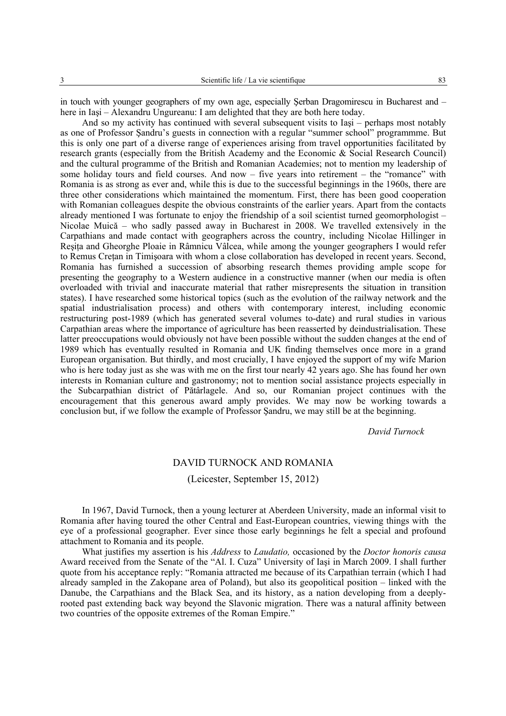in touch with younger geographers of my own age, especially Şerban Dragomirescu in Bucharest and – here in Iaşi – Alexandru Ungureanu: I am delighted that they are both here today.

And so my activity has continued with several subsequent visits to Iaşi – perhaps most notably as one of Professor Şandru's guests in connection with a regular "summer school" programmme. But this is only one part of a diverse range of experiences arising from travel opportunities facilitated by research grants (especially from the British Academy and the Economic & Social Research Council) and the cultural programme of the British and Romanian Academies; not to mention my leadership of some holiday tours and field courses. And now – five years into retirement – the "romance" with Romania is as strong as ever and, while this is due to the successful beginnings in the 1960s, there are three other considerations which maintained the momentum. First, there has been good cooperation with Romanian colleagues despite the obvious constraints of the earlier years. Apart from the contacts already mentioned I was fortunate to enjoy the friendship of a soil scientist turned geomorphologist – Nicolae Muică – who sadly passed away in Bucharest in 2008. We travelled extensively in the Carpathians and made contact with geographers across the country, including Nicolae Hillinger in Reşiţa and Gheorghe Ploaie in Râmnicu Vâlcea, while among the younger geographers I would refer to Remus Cretan in Timisoara with whom a close collaboration has developed in recent years. Second, Romania has furnished a succession of absorbing research themes providing ample scope for presenting the geography to a Western audience in a constructive manner (when our media is often overloaded with trivial and inaccurate material that rather misrepresents the situation in transition states). I have researched some historical topics (such as the evolution of the railway network and the spatial industrialisation process) and others with contemporary interest, including economic restructuring post-1989 (which has generated several volumes to-date) and rural studies in various Carpathian areas where the importance of agriculture has been reasserted by deindustrialisation. These latter preoccupations would obviously not have been possible without the sudden changes at the end of 1989 which has eventually resulted in Romania and UK finding themselves once more in a grand European organisation. But thirdly, and most crucially, I have enjoyed the support of my wife Marion who is here today just as she was with me on the first tour nearly 42 years ago. She has found her own interests in Romanian culture and gastronomy; not to mention social assistance projects especially in the Subcarpathian district of Pătârlagele. And so, our Romanian project continues with the encouragement that this generous award amply provides. We may now be working towards a conclusion but, if we follow the example of Professor Şandru, we may still be at the beginning.

*David Turnock* 

## DAVID TURNOCK AND ROMANIA

(Leicester, September 15, 2012)

In 1967, David Turnock, then a young lecturer at Aberdeen University, made an informal visit to Romania after having toured the other Central and East-European countries, viewing things with the eye of a professional geographer. Ever since those early beginnings he felt a special and profound attachment to Romania and its people.

What justifies my assertion is his *Address* to *Laudatio,* occasioned by the *Doctor honoris causa*  Award received from the Senate of the "Al. I. Cuza" University of Iaşi in March 2009. I shall further quote from his acceptance reply: "Romania attracted me because of its Carpathian terrain (which I had already sampled in the Zakopane area of Poland), but also its geopolitical position – linked with the Danube, the Carpathians and the Black Sea, and its history, as a nation developing from a deeplyrooted past extending back way beyond the Slavonic migration. There was a natural affinity between two countries of the opposite extremes of the Roman Empire."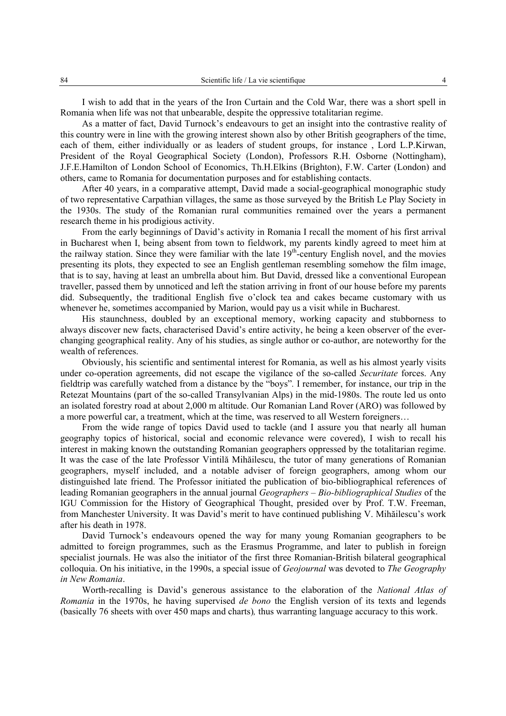I wish to add that in the years of the Iron Curtain and the Cold War, there was a short spell in Romania when life was not that unbearable, despite the oppressive totalitarian regime.

As a matter of fact, David Turnock's endeavours to get an insight into the contrastive reality of this country were in line with the growing interest shown also by other British geographers of the time, each of them, either individually or as leaders of student groups, for instance , Lord L.P.Kirwan, President of the Royal Geographical Society (London), Professors R.H. Osborne (Nottingham), J.F.E.Hamilton of London School of Economics, Th.H.Elkins (Brighton), F.W. Carter (London) and others, came to Romania for documentation purposes and for establishing contacts.

After 40 years, in a comparative attempt, David made a social-geographical monographic study of two representative Carpathian villages, the same as those surveyed by the British Le Play Society in the 1930s. The study of the Romanian rural communities remained over the years a permanent research theme in his prodigious activity.

From the early beginnings of David's activity in Romania I recall the moment of his first arrival in Bucharest when I, being absent from town to fieldwork, my parents kindly agreed to meet him at the railway station. Since they were familiar with the late 19<sup>th</sup>-century English novel, and the movies presenting its plots, they expected to see an English gentleman resembling somehow the film image, that is to say, having at least an umbrella about him. But David, dressed like a conventional European traveller, passed them by unnoticed and left the station arriving in front of our house before my parents did. Subsequently, the traditional English five o'clock tea and cakes became customary with us whenever he, sometimes accompanied by Marion, would pay us a visit while in Bucharest.

His staunchness, doubled by an exceptional memory, working capacity and stubborness to always discover new facts, characterised David's entire activity, he being a keen observer of the everchanging geographical reality. Any of his studies, as single author or co-author, are noteworthy for the wealth of references.

Obviously, his scientific and sentimental interest for Romania, as well as his almost yearly visits under co-operation agreements, did not escape the vigilance of the so-called *Securitate* forces. Any fieldtrip was carefully watched from a distance by the "boys"*.* I remember, for instance, our trip in the Retezat Mountains (part of the so-called Transylvanian Alps) in the mid-1980s. The route led us onto an isolated forestry road at about 2,000 m altitude. Our Romanian Land Rover (ARO) was followed by a more powerful car, a treatment, which at the time, was reserved to all Western foreigners…

From the wide range of topics David used to tackle (and I assure you that nearly all human geography topics of historical, social and economic relevance were covered), I wish to recall his interest in making known the outstanding Romanian geographers oppressed by the totalitarian regime. It was the case of the late Professor Vintilă Mihăilescu, the tutor of many generations of Romanian geographers, myself included, and a notable adviser of foreign geographers, among whom our distinguished late friend. The Professor initiated the publication of bio-bibliographical references of leading Romanian geographers in the annual journal *Geographers – Bio-bibliographical Studies* of the IGU Commission for the History of Geographical Thought, presided over by Prof. T.W. Freeman, from Manchester University. It was David's merit to have continued publishing V. Mihăilescu's work after his death in 1978.

David Turnock's endeavours opened the way for many young Romanian geographers to be admitted to foreign programmes, such as the Erasmus Programme, and later to publish in foreign specialist journals. He was also the initiator of the first three Romanian-British bilateral geographical colloquia. On his initiative, in the 1990s, a special issue of *Geojournal* was devoted to *The Geography in New Romania*.

Worth-recalling is David's generous assistance to the elaboration of the *National Atlas of Romania* in the 1970s, he having supervised *de bono* the English version of its texts and legends (basically 76 sheets with over 450 maps and charts)*,* thus warranting language accuracy to this work.